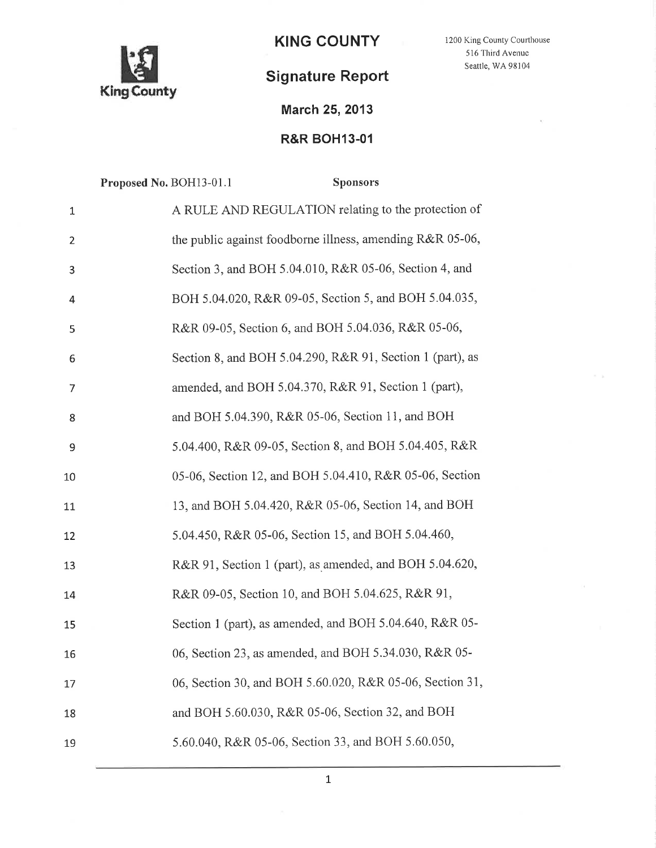

KING COUNTY 1200 King County Courthouse

## Signature Report

March 25,2013

## **R&R BOH13-01**

|                | Proposed No. BOH13-01.1 |                                                           | <b>Sponsors</b> |
|----------------|-------------------------|-----------------------------------------------------------|-----------------|
| $\mathbf 1$    |                         | A RULE AND REGULATION relating to the protection of       |                 |
| $\overline{2}$ |                         | the public against foodborne illness, amending R&R 05-06, |                 |
| 3              |                         | Section 3, and BOH 5.04.010, R&R 05-06, Section 4, and    |                 |
| 4              |                         | BOH 5.04.020, R&R 09-05, Section 5, and BOH 5.04.035,     |                 |
| 5              |                         | R&R 09-05, Section 6, and BOH 5.04.036, R&R 05-06,        |                 |
| 6              |                         | Section 8, and BOH 5.04.290, R&R 91, Section 1 (part), as |                 |
| 7              |                         | amended, and BOH 5.04.370, R&R 91, Section 1 (part),      |                 |
| 8              |                         | and BOH 5.04.390, R&R 05-06, Section 11, and BOH          |                 |
| 9              |                         | 5.04.400, R&R 09-05, Section 8, and BOH 5.04.405, R&R     |                 |
| 10             |                         | 05-06, Section 12, and BOH 5.04.410, R&R 05-06, Section   |                 |
| 11             |                         | 13, and BOH 5.04.420, R&R 05-06, Section 14, and BOH      |                 |
| 12             |                         | 5.04.450, R&R 05-06, Section 15, and BOH 5.04.460,        |                 |
| 13             |                         | R&R 91, Section 1 (part), as amended, and BOH 5.04.620,   |                 |
| 14             |                         | R&R 09-05, Section 10, and BOH 5.04.625, R&R 91,          |                 |
| 15             |                         | Section 1 (part), as amended, and BOH 5.04.640, R&R 05-   |                 |
| 16             |                         | 06, Section 23, as amended, and BOH 5.34.030, R&R 05-     |                 |
| 17             |                         | 06, Section 30, and BOH 5.60.020, R&R 05-06, Section 31,  |                 |
| 18             |                         | and BOH 5.60.030, R&R 05-06, Section 32, and BOH          |                 |
| 19             |                         | 5.60.040, R&R 05-06, Section 33, and BOH 5.60.050,        |                 |

516 Third Avenue Seattle, WA 98104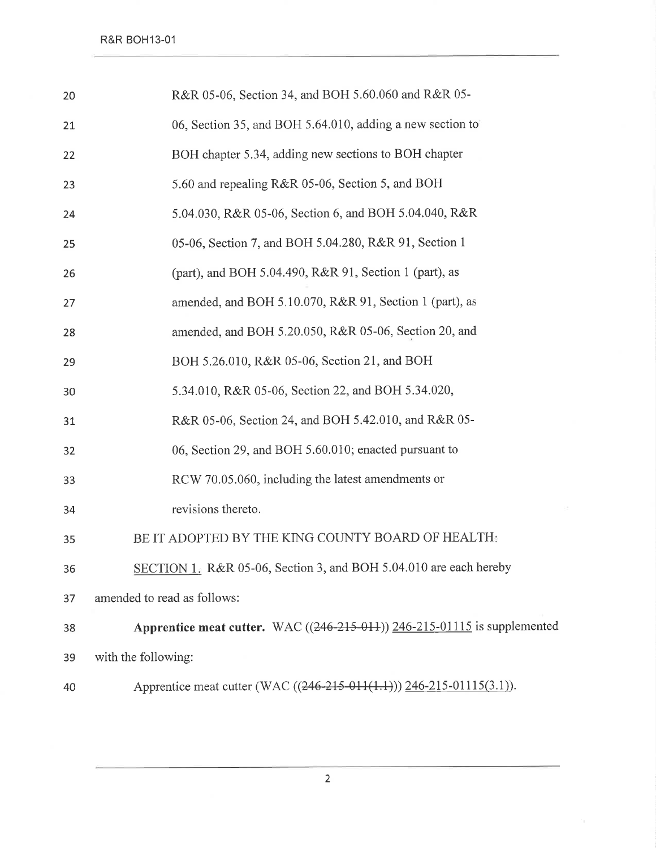| 20 | R&R 05-06, Section 34, and BOH 5.60.060 and R&R 05-                           |
|----|-------------------------------------------------------------------------------|
| 21 | 06, Section 35, and BOH 5.64.010, adding a new section to                     |
| 22 | BOH chapter 5.34, adding new sections to BOH chapter                          |
| 23 | 5.60 and repealing R&R 05-06, Section 5, and BOH                              |
| 24 | 5.04.030, R&R 05-06, Section 6, and BOH 5.04.040, R&R                         |
| 25 | 05-06, Section 7, and BOH 5.04.280, R&R 91, Section 1                         |
| 26 | (part), and BOH 5.04.490, R&R 91, Section 1 (part), as                        |
| 27 | amended, and BOH 5.10.070, R&R 91, Section 1 (part), as                       |
| 28 | amended, and BOH 5.20.050, R&R 05-06, Section 20, and                         |
| 29 | BOH 5.26.010, R&R 05-06, Section 21, and BOH                                  |
| 30 | 5.34.010, R&R 05-06, Section 22, and BOH 5.34.020,                            |
| 31 | R&R 05-06, Section 24, and BOH 5.42.010, and R&R 05-                          |
| 32 | 06, Section 29, and BOH 5.60.010; enacted pursuant to                         |
| 33 | RCW 70.05.060, including the latest amendments or                             |
| 34 | revisions thereto.                                                            |
| 35 | BE IT ADOPTED BY THE KING COUNTY BOARD OF HEALTH:                             |
| 36 | SECTION 1. R&R 05-06, Section 3, and BOH 5.04.010 are each hereby             |
| 37 | amended to read as follows:                                                   |
| 38 | Apprentice meat cutter. WAC $((246-215-011))$ $246-215-01115$ is supplemented |
| 39 | with the following:                                                           |
| 40 | Apprentice meat cutter (WAC ((246-215-011(1.1))) 246-215-01115(3.1)).         |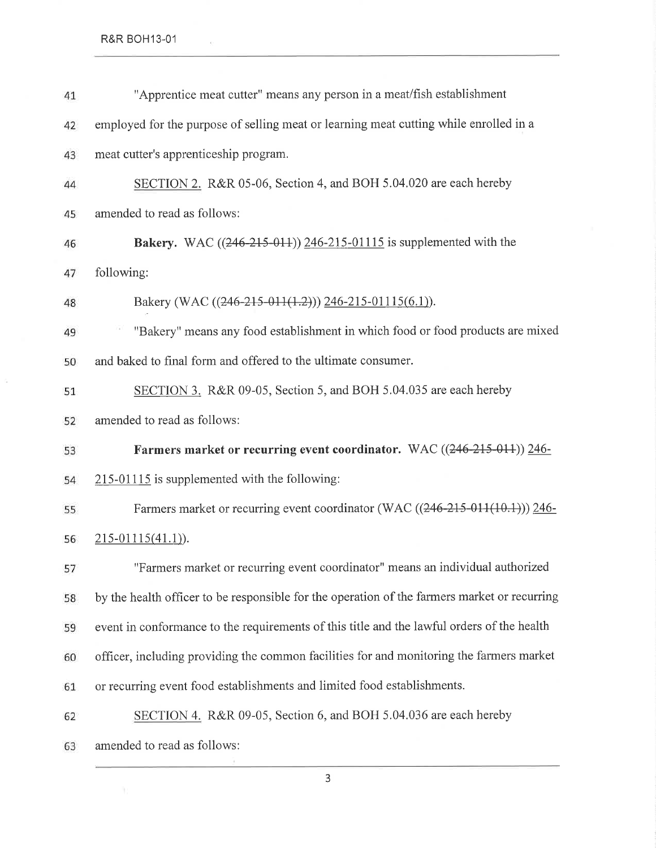**R&R BOH13-01** 

 $\tilde{a}$ 

 $\sim$   $\alpha$ 

| 41 | "Apprentice meat cutter" means any person in a meat/fish establishment                       |
|----|----------------------------------------------------------------------------------------------|
| 42 | employed for the purpose of selling meat or learning meat cutting while enrolled in a        |
| 43 | meat cutter's apprenticeship program.                                                        |
| 44 | SECTION 2. R&R 05-06, Section 4, and BOH 5.04.020 are each hereby                            |
| 45 | amended to read as follows:                                                                  |
| 46 | <b>Bakery.</b> WAC $((246-215-011))$ $246-215-01115$ is supplemented with the                |
| 47 | following:                                                                                   |
| 48 | Bakery (WAC $((246-215-011(1.2)))$ 246-215-01115(6.1)).                                      |
| 49 | "Bakery" means any food establishment in which food or food products are mixed               |
| 50 | and baked to final form and offered to the ultimate consumer.                                |
| 51 | SECTION 3. R&R 09-05, Section 5, and BOH 5.04.035 are each hereby                            |
| 52 | amended to read as follows:                                                                  |
| 53 | Farmers market or recurring event coordinator. WAC ((246-215-011)) 246-                      |
| 54 | 215-01115 is supplemented with the following:                                                |
| 55 | Farmers market or recurring event coordinator (WAC ((246-215-011(10.1))) 246-                |
| 56 | $215-01115(41.1)$ .                                                                          |
| 57 | "Farmers market or recurring event coordinator" means an individual authorized               |
| 58 | by the health officer to be responsible for the operation of the farmers market or recurring |
| 59 | event in conformance to the requirements of this title and the lawful orders of the health   |
| 60 | officer, including providing the common facilities for and monitoring the farmers market     |
| 61 | or recurring event food establishments and limited food establishments.                      |
| 62 | SECTION 4. R&R 09-05, Section 6, and BOH 5.04.036 are each hereby                            |
| 63 | amended to read as follows:                                                                  |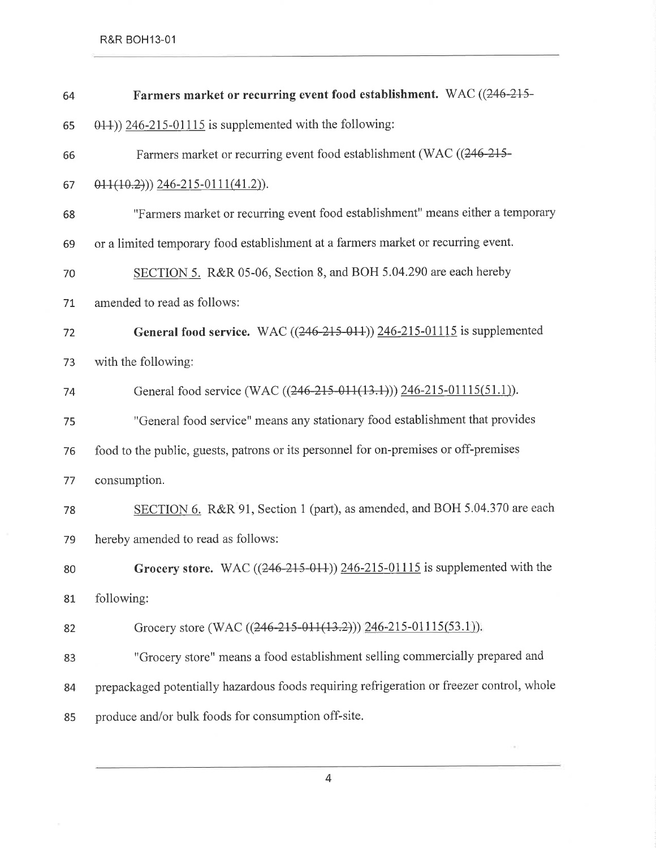R&R BOH13-01

| 64 | Farmers market or recurring event food establishment. WAC ((246-215-                      |
|----|-------------------------------------------------------------------------------------------|
| 65 | $(0.14)$ ) 246-215-01115 is supplemented with the following:                              |
| 66 | Farmers market or recurring event food establishment (WAC ((246-215-                      |
| 67 | $\left( \frac{0.2}{0.2} \right)$ $\left( \frac{246-215-0111(41.2)}{0.2} \right)$ .        |
| 68 | "Farmers market or recurring event food establishment" means either a temporary           |
| 69 | or a limited temporary food establishment at a farmers market or recurring event.         |
| 70 | SECTION 5. R&R 05-06, Section 8, and BOH 5.04.290 are each hereby                         |
| 71 | amended to read as follows:                                                               |
| 72 | <b>General food service.</b> WAC $((246-215-011))$ $246-215-01115$ is supplemented        |
| 73 | with the following:                                                                       |
| 74 | General food service (WAC ((246-215-011(13.1))) 246-215-01115(51.1)).                     |
| 75 | "General food service" means any stationary food establishment that provides              |
| 76 | food to the public, guests, patrons or its personnel for on-premises or off-premises      |
| 77 | consumption.                                                                              |
| 78 | SECTION 6. R&R 91, Section 1 (part), as amended, and BOH 5.04.370 are each                |
| 79 | hereby amended to read as follows:                                                        |
| 80 | Grocery store. WAC $((246-215-011))$ $246-215-01115$ is supplemented with the             |
| 81 | following:                                                                                |
| 82 | Grocery store (WAC ((246-215-011(13.2))) 246-215-01115(53.1)).                            |
| 83 | "Grocery store" means a food establishment selling commercially prepared and              |
| 84 | prepackaged potentially hazardous foods requiring refrigeration or freezer control, whole |
| 85 | produce and/or bulk foods for consumption off-site.                                       |

4

 $\left( 0.1\right)$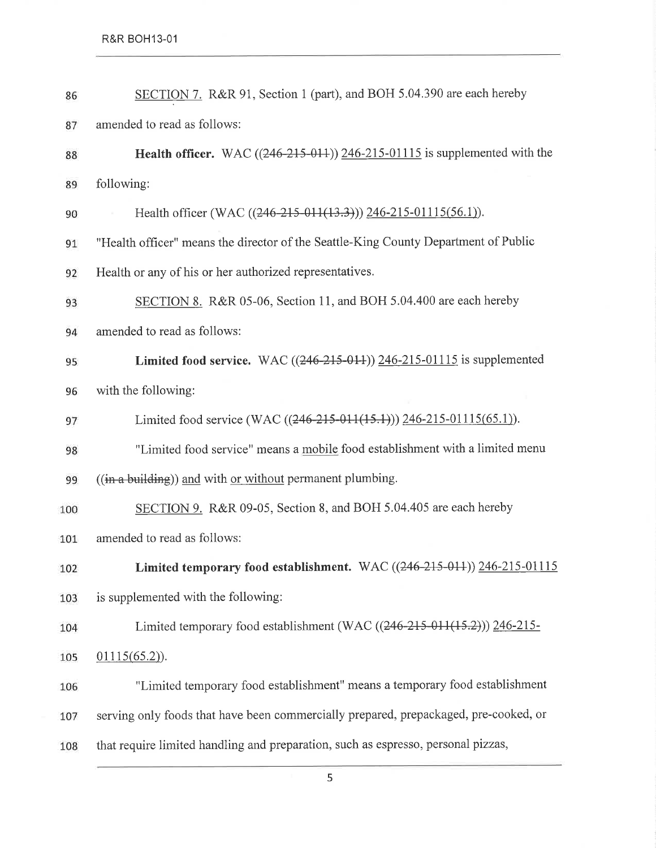| 86  | SECTION 7. R&R 91, Section 1 (part), and BOH 5.04.390 are each hereby                 |
|-----|---------------------------------------------------------------------------------------|
| 87  | amended to read as follows:                                                           |
| 88  | <b>Health officer.</b> WAC $((246-215-011))$ $246-215-01115$ is supplemented with the |
| 89  | following:                                                                            |
| 90  | Health officer (WAC ((246-215-011(13.3))) 246-215-01115(56.1)).                       |
| 91  | "Health officer" means the director of the Seattle-King County Department of Public   |
| 92  | Health or any of his or her authorized representatives.                               |
| 93  | SECTION 8. R&R 05-06, Section 11, and BOH 5.04.400 are each hereby                    |
| 94  | amended to read as follows:                                                           |
| 95  | <b>Limited food service.</b> WAC $((246-215-014))$ $246-215-01115$ is supplemented    |
| 96  | with the following:                                                                   |
| 97  | Limited food service (WAC ((246-215-011(15.1))) 246-215-01115(65.1)).                 |
| 98  | "Limited food service" means a mobile food establishment with a limited menu          |
| 99  | $((\text{in a building}))$ and with or without permanent plumbing.                    |
| 100 | SECTION 9. R&R 09-05, Section 8, and BOH 5.04.405 are each hereby                     |
| 101 | amended to read as follows:                                                           |
| 102 | Limited temporary food establishment. WAC ((246-215-011)) 246-215-01115               |
| 103 | is supplemented with the following:                                                   |
| 104 | Limited temporary food establishment (WAC $((246-215-011(15.2)))$ 246-215-            |
| 105 | $01115(65.2)$ .                                                                       |
| 106 | "Limited temporary food establishment" means a temporary food establishment           |
| 107 | serving only foods that have been commercially prepared, prepackaged, pre-cooked, or  |
| 108 | that require limited handling and preparation, such as espresso, personal pizzas,     |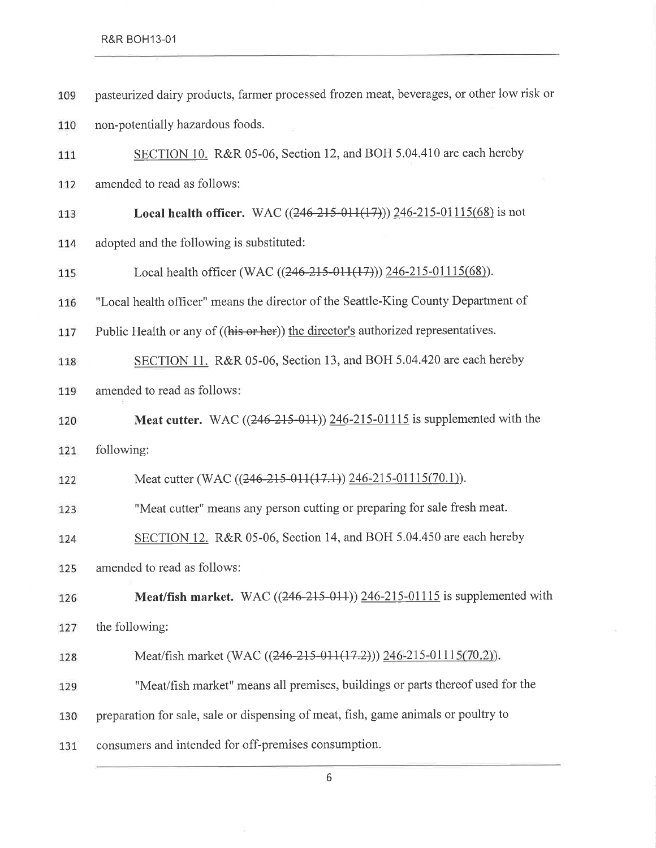| 109 | pasteurized dairy products, farmer processed frozen meat, beverages, or other low risk or |
|-----|-------------------------------------------------------------------------------------------|
| 110 | non-potentially hazardous foods.                                                          |
| 111 | SECTION 10. R&R 05-06, Section 12, and BOH 5.04.410 are each hereby                       |
| 112 | amended to read as follows:                                                               |
| 113 | <b>Local health officer.</b> WAC $((246-215-011(17)))$ $246-215-01115(68)$ is not         |
| 114 | adopted and the following is substituted:                                                 |
| 115 | Local health officer (WAC $((246-215-011(17)))$ $(246-215-01115(68))$ .                   |
| 116 | "Local health officer" means the director of the Seattle-King County Department of        |
| 117 | Public Health or any of ((his or her)) the director's authorized representatives.         |
| 118 | SECTION 11. R&R 05-06, Section 13, and BOH 5.04.420 are each hereby                       |
| 119 | amended to read as follows:                                                               |
| 120 | <b>Meat cutter.</b> WAC $((246-215-011))$ $246-215-01115$ is supplemented with the        |
| 121 | following:                                                                                |
| 122 | Meat cutter (WAC ((246-215-011(17.1)) 246-215-01115(70.1)).                               |
| 123 | "Meat cutter" means any person cutting or preparing for sale fresh meat.                  |
| 124 | SECTION 12. R&R 05-06, Section 14, and BOH 5.04.450 are each hereby                       |
| 125 | amended to read as follows:                                                               |
| 126 | <b>Meat/fish market.</b> WAC $((246-215-011))$ $246-215-01115$ is supplemented with       |
| 127 | the following:                                                                            |
| 128 | Meat/fish market (WAC ((246-215-011(17.2))) 246-215-01115(70.2)).                         |
| 129 | "Meat/fish market" means all premises, buildings or parts thereof used for the            |
| 130 | preparation for sale, sale or dispensing of meat, fish, game animals or poultry to        |
| 131 | consumers and intended for off-premises consumption.                                      |

 $\overline{A}$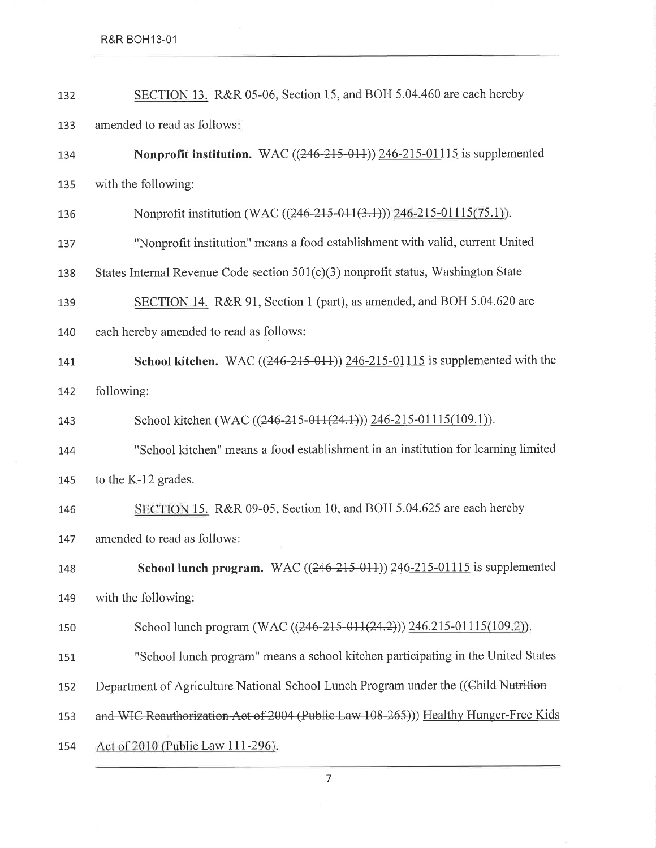| 132 | SECTION 13. R&R 05-06, Section 15, and BOH 5.04.460 are each hereby                     |
|-----|-----------------------------------------------------------------------------------------|
| 133 | amended to read as follows:                                                             |
| 134 | Nonprofit institution. WAC $((246-215-014))$ $(246-215-01115)$ is supplemented          |
| 135 | with the following:                                                                     |
| 136 | Nonprofit institution (WAC ((246-215-011(3.1))) 246-215-01115(75.1)).                   |
| 137 | "Nonprofit institution" means a food establishment with valid, current United           |
| 138 | States Internal Revenue Code section $501(c)(3)$ nonprofit status, Washington State     |
| 139 | SECTION 14. R&R 91, Section 1 (part), as amended, and BOH 5.04.620 are                  |
| 140 | each hereby amended to read as follows:                                                 |
| 141 | <b>School kitchen.</b> WAC $((246-215-011))$ $(246-215-01115)$ is supplemented with the |
| 142 | following:                                                                              |
| 143 | School kitchen (WAC ((246-215-011(24.1))) 246-215-01115(109.1)).                        |
| 144 | "School kitchen" means a food establishment in an institution for learning limited      |
| 145 | to the K-12 grades.                                                                     |
| 146 | SECTION 15. R&R 09-05, Section 10, and BOH 5.04.625 are each hereby                     |
| 147 | amended to read as follows:                                                             |
| 148 | School lunch program. WAC $((246-215-011))$ $246-215-01115$ is supplemented             |
| 149 | with the following:                                                                     |
| 150 | School lunch program (WAC ((246-215-011(24.2))) 246.215-01115(109.2)).                  |
| 151 | "School lunch program" means a school kitchen participating in the United States        |
| 152 | Department of Agriculture National School Lunch Program under the ((Child Nutrition     |
| 153 | and WIC Reauthorization Act of 2004 (Public Law 108-265))) Healthy Hunger-Free Kids     |
| 154 | Act of 2010 (Public Law 111-296).                                                       |

 $\mathcal{Q}$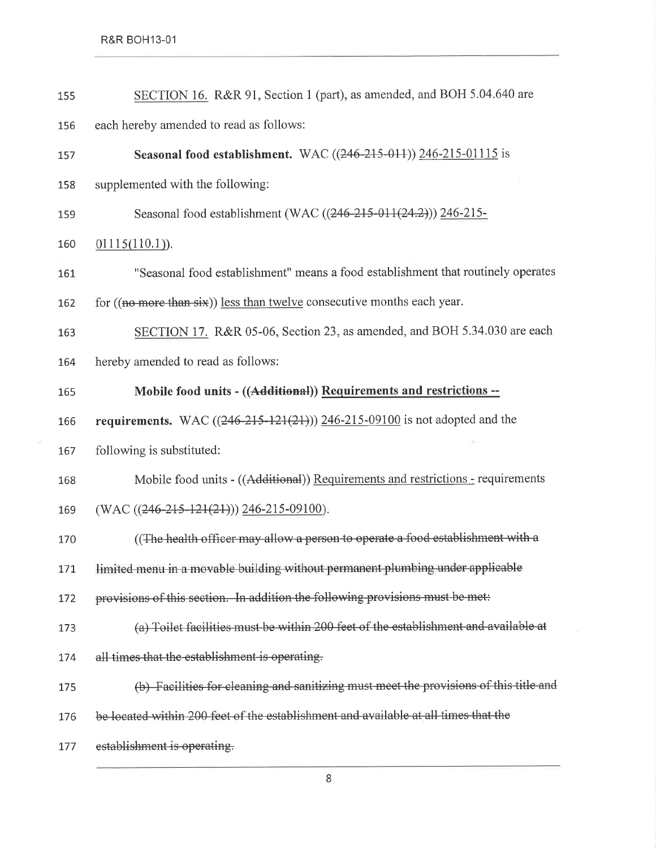$\mathcal{R}$ 

| 155 | SECTION 16. R&R 91, Section 1 (part), as amended, and BOH 5.04.640 are                |
|-----|---------------------------------------------------------------------------------------|
| 156 | each hereby amended to read as follows:                                               |
| 157 | Seasonal food establishment. WAC ((246-215-011)) 246-215-01115 is                     |
| 158 | supplemented with the following:                                                      |
| 159 | Seasonal food establishment (WAC ((246-215-011(24.2))) 246-215-                       |
| 160 | $01115(110.1)$ .                                                                      |
| 161 | "Seasonal food establishment" means a food establishment that routinely operates      |
| 162 | for $((no more than six))$ less than twelve consecutive months each year.             |
| 163 | SECTION 17. R&R 05-06, Section 23, as amended, and BOH 5.34.030 are each              |
| 164 | hereby amended to read as follows:                                                    |
| 165 | Mobile food units - ((Additional)) Requirements and restrictions --                   |
| 166 | <b>requirements.</b> WAC $((246-215-121(21)))$ $246-215-09100$ is not adopted and the |
| 167 | following is substituted:                                                             |
| 168 | Mobile food units - ((Additional)) Requirements and restrictions - requirements       |
| 169 | $(WAC ((246-215-121(21)))$ 246-215-09100).                                            |
| 170 | ((The health officer may allow a person to operate a food establishment with a        |
| 171 | limited menu in a movable building without permanent plumbing under applicable        |
| 172 | provisions of this section. In addition the following provisions must be met:         |
| 173 | (a) Toilet facilities must be within 200 feet of the establishment and available at   |
| 174 | all times that the establishment is operating.                                        |
| 175 | (b) Facilities for eleaning and sanitizing must meet the provisions of this title and |
| 176 | be located within 200 feet of the establishment and available at all times that the   |
|     |                                                                                       |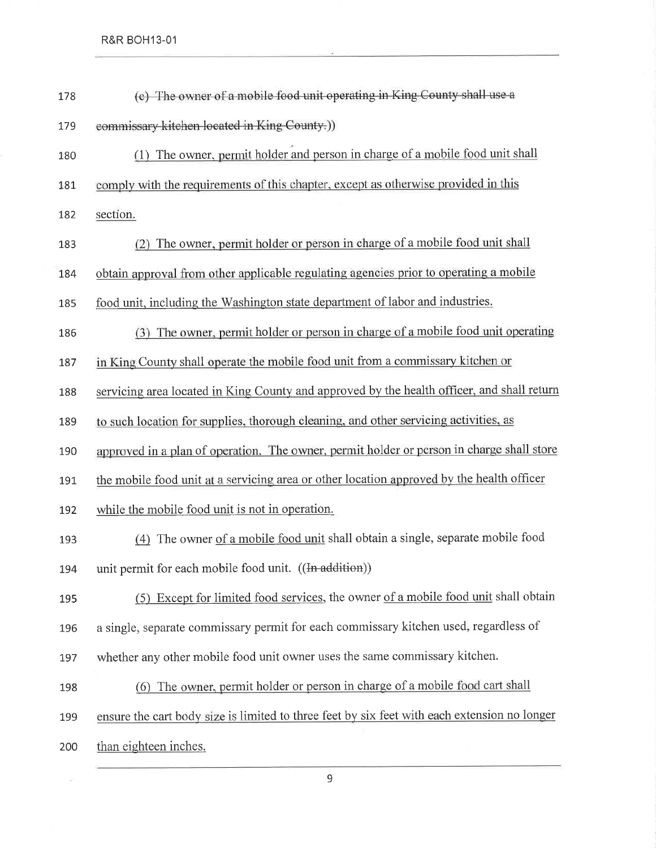$\overrightarrow{h}$ 

| 178 | (e) The owner of a mobile food unit operating in King County shall use a                     |
|-----|----------------------------------------------------------------------------------------------|
| 179 | commissary kitchen located in King County.))                                                 |
| 180 | The owner, permit holder and person in charge of a mobile food unit shall<br>(1)             |
| 181 | comply with the requirements of this chapter, except as otherwise provided in this           |
| 182 | section.                                                                                     |
| 183 | (2) The owner, permit holder or person in charge of a mobile food unit shall                 |
| 184 | obtain approval from other applicable regulating agencies prior to operating a mobile        |
| 185 | food unit, including the Washington state department of labor and industries.                |
| 186 | (3) The owner, permit holder or person in charge of a mobile food unit operating             |
| 187 | in King County shall operate the mobile food unit from a commissary kitchen or               |
| 188 | servicing area located in King County and approved by the health officer, and shall return   |
| 189 | to such location for supplies, thorough cleaning, and other servicing activities, as         |
| 190 | approved in a plan of operation. The owner, permit holder or person in charge shall store    |
| 191 | the mobile food unit at a servicing area or other location approved by the health officer    |
| 192 | while the mobile food unit is not in operation.                                              |
| 193 | (4) The owner of a mobile food unit shall obtain a single, separate mobile food              |
| 194 | unit permit for each mobile food unit. ((In addition))                                       |
| 195 | (5) Except for limited food services, the owner of a mobile food unit shall obtain           |
| 196 | a single, separate commissary permit for each commissary kitchen used, regardless of         |
| 197 | whether any other mobile food unit owner uses the same commissary kitchen.                   |
| 198 | (6) The owner, permit holder or person in charge of a mobile food cart shall                 |
| 199 | ensure the cart body size is limited to three feet by six feet with each extension no longer |
| 200 | than eighteen inches.                                                                        |
|     |                                                                                              |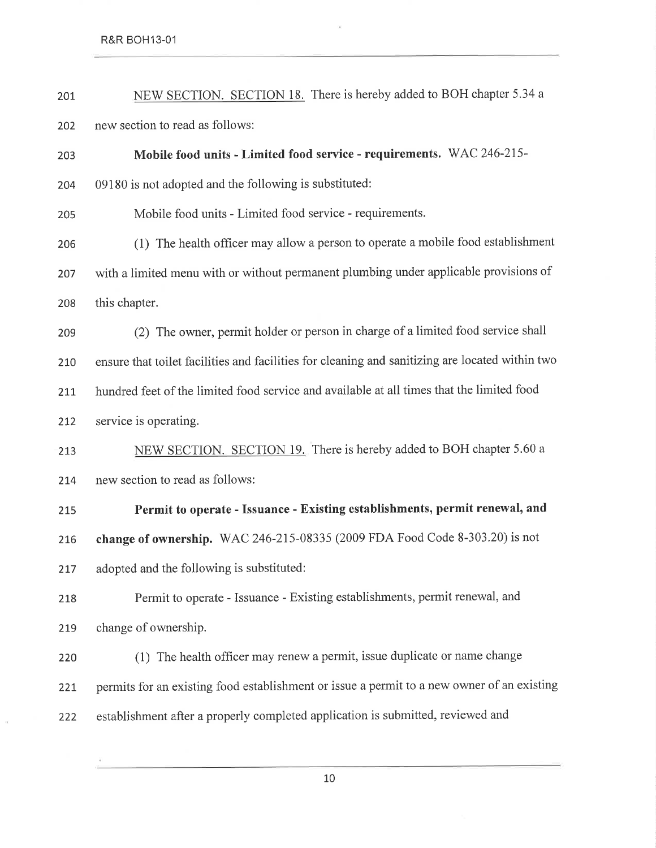$\alpha$ 

| 201 | NEW SECTION. SECTION 18. There is hereby added to BOH chapter 5.34 a                            |
|-----|-------------------------------------------------------------------------------------------------|
| 202 | new section to read as follows:                                                                 |
| 203 | Mobile food units - Limited food service - requirements. WAC 246-215-                           |
| 204 | 09180 is not adopted and the following is substituted:                                          |
| 205 | Mobile food units - Limited food service - requirements.                                        |
| 206 | (1) The health officer may allow a person to operate a mobile food establishment                |
| 207 | with a limited menu with or without permanent plumbing under applicable provisions of           |
| 208 | this chapter.                                                                                   |
| 209 | (2) The owner, permit holder or person in charge of a limited food service shall                |
| 210 | ensure that toilet facilities and facilities for cleaning and sanitizing are located within two |
| 211 | hundred feet of the limited food service and available at all times that the limited food       |
| 212 | service is operating.                                                                           |
| 213 | NEW SECTION. SECTION 19. There is hereby added to BOH chapter 5.60 a                            |
| 214 | new section to read as follows:                                                                 |
| 215 | Permit to operate - Issuance - Existing establishments, permit renewal, and                     |
| 216 | change of ownership. WAC 246-215-08335 (2009 FDA Food Code 8-303.20) is not                     |
| 217 | adopted and the following is substituted:                                                       |
| 218 | Permit to operate - Issuance - Existing establishments, permit renewal, and                     |
| 219 | change of ownership.                                                                            |
| 220 | (1) The health officer may renew a permit, issue duplicate or name change                       |
| 221 | permits for an existing food establishment or issue a permit to a new owner of an existing      |
| 222 | establishment after a properly completed application is submitted, reviewed and                 |
|     |                                                                                                 |

 $\tilde{\boldsymbol{\theta}}$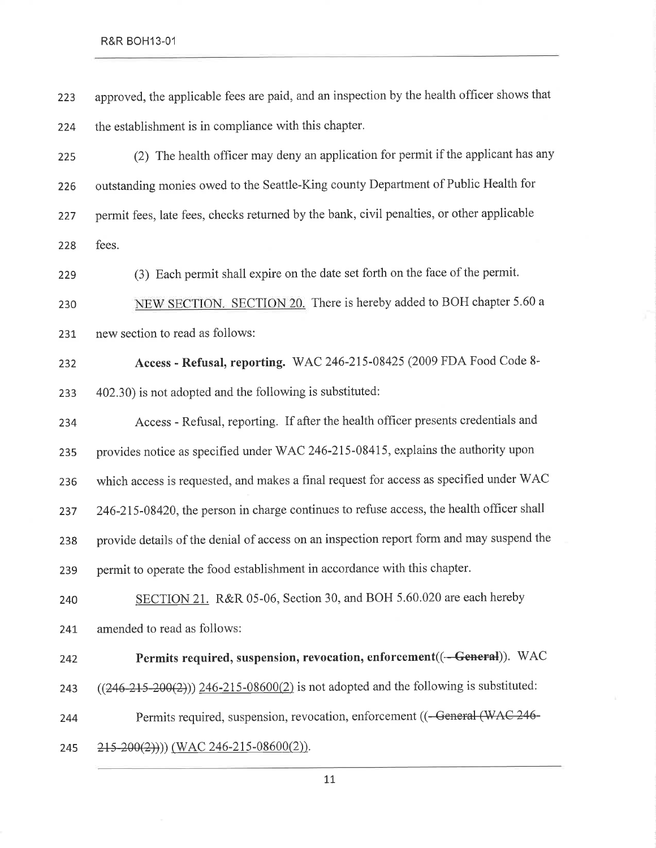223 224 approved, the applicable fees are paid, and an inspection by the health officer shows that the establishment is in compliance with this chapter.

225 226 227 228 (2) The health officer may deny an application for permit if the applicant has any outstanding monies owed to the Seattle-King county Department of Public Health for permit fees, late fees, checks returned by the bank, civil penalties, or other applicable fees.

229 (3) Each permit shall expire on the date set forth on the face of the permit.

230 231 NEW SECTION. SECTION 20. There is hereby added to BOH chapter 5.60 a new section to read as follows:

232 233 Access - Refusal, reporting. WAC 246-215-08425 (2009 FDA Food Code 8- 40230) is not adopted and the following is substituted:

234 23s 236 237 238 239 240 Access - Refusal, reporting. If after the health officer presents credentials and provides notice as specified under V/AC 246-215-08415, explains the authority upon which access is requested, and makes a final request for access as specified under WAC  $246-215-08420$ , the person in charge continues to refuse access, the health officer shall provide details of the denial of access on an inspection report form and may suspend the permit to operate the food establishment in accordance with this chapter. SECTION 21. R&R 05-06, Section 30, and BOH 5.60.020 are each hereby

241. amended to read as follows:

242

243

Permits required, suspension, revocation, enforcement((-General)). WAC  $((246-215-200(2)))$  246-215-08600(2) is not adopted and the following is substituted:

244 Permits required, suspension, revocation, enforcement ((-General (WAC 246-

245  $(215-200(2)))$  (WAC 246-215-08600(2)).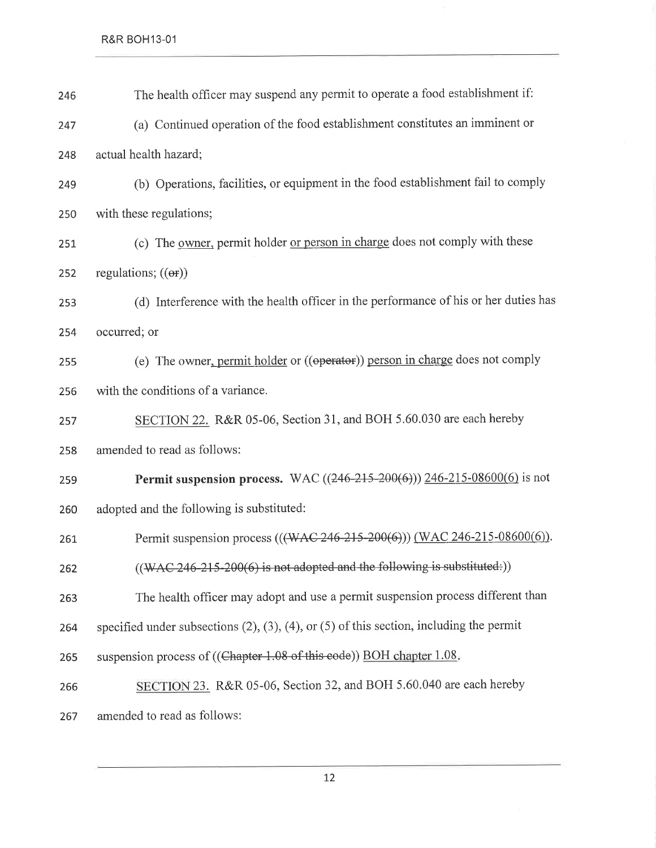| 246 | The health officer may suspend any permit to operate a food establishment if:                      |
|-----|----------------------------------------------------------------------------------------------------|
| 247 | (a) Continued operation of the food establishment constitutes an imminent or                       |
| 248 | actual health hazard;                                                                              |
| 249 | (b) Operations, facilities, or equipment in the food establishment fail to comply                  |
| 250 | with these regulations;                                                                            |
| 251 | (c) The <u>owner</u> , permit holder <u>or person in charge</u> does not comply with these         |
| 252 | regulations; $((er))$                                                                              |
| 253 | (d) Interference with the health officer in the performance of his or her duties has               |
| 254 | occurred; or                                                                                       |
| 255 | (e) The owner, permit holder or ((operator)) person in charge does not comply                      |
| 256 | with the conditions of a variance.                                                                 |
| 257 | SECTION 22. R&R 05-06, Section 31, and BOH 5.60.030 are each hereby                                |
| 258 | amended to read as follows:                                                                        |
| 259 | Permit suspension process. WAC ((246-215-200(6))) 246-215-08600(6) is not                          |
| 260 | adopted and the following is substituted:                                                          |
| 261 | Permit suspension process (((WAC-246-215-200(6))) (WAC 246-215-08600(6)).                          |
| 262 | $((WAC 246-215-200(6)$ is not adopted and the following is substituted:))                          |
| 263 | The health officer may adopt and use a permit suspension process different than                    |
| 264 | specified under subsections $(2)$ , $(3)$ , $(4)$ , or $(5)$ of this section, including the permit |
| 265 | suspension process of ((Chapter 1.08 of this code)) BOH chapter 1.08.                              |
| 266 | SECTION 23. R&R 05-06, Section 32, and BOH 5.60.040 are each hereby                                |
| 267 | amended to read as follows:                                                                        |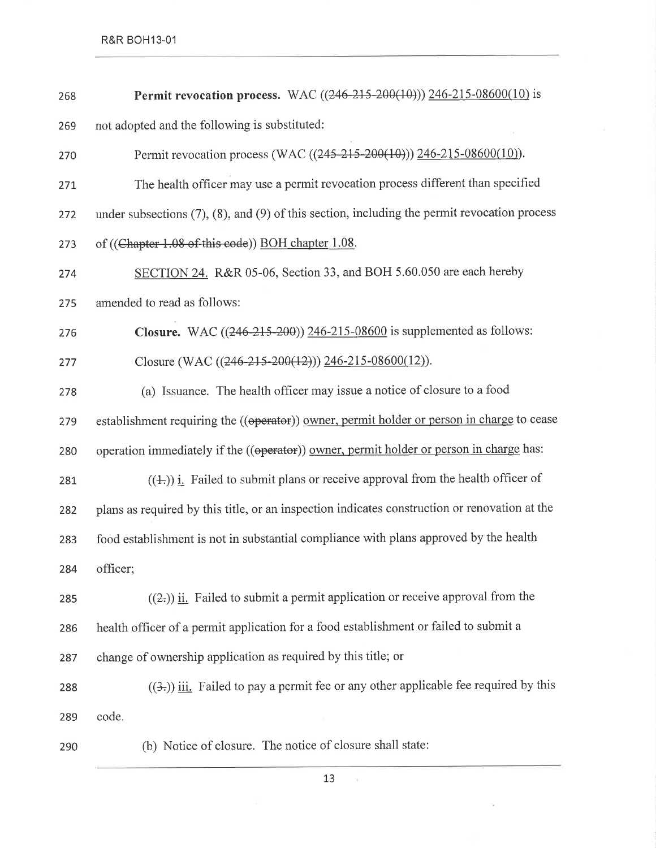R&R BOH13-01

| 268 | Permit revocation process. WAC ((246-215-200(10))) 246-215-08600(10) is                              |
|-----|------------------------------------------------------------------------------------------------------|
| 269 | not adopted and the following is substituted:                                                        |
| 270 | Permit revocation process (WAC ((245-215-200(10))) 246-215-08600(10)).                               |
| 271 | The health officer may use a permit revocation process different than specified                      |
| 272 | under subsections $(7)$ , $(8)$ , and $(9)$ of this section, including the permit revocation process |
| 273 | of ((Chapter 1.08 of this code)) BOH chapter 1.08.                                                   |
| 274 | SECTION 24. R&R 05-06, Section 33, and BOH 5.60.050 are each hereby                                  |
| 275 | amended to read as follows:                                                                          |
| 276 | <b>Closure.</b> WAC $((246-215-200))$ $246-215-08600$ is supplemented as follows:                    |
| 277 | Closure (WAC $((246-215-200(12)))$ 246-215-08600(12)).                                               |
| 278 | (a) Issuance. The health officer may issue a notice of closure to a food                             |
| 279 | establishment requiring the ((operator)) owner, permit holder or person in charge to cease           |
| 280 | operation immediately if the ((operator)) owner, permit holder or person in charge has:              |
| 281 | $((\pm))$ i. Failed to submit plans or receive approval from the health officer of                   |
| 282 | plans as required by this title, or an inspection indicates construction or renovation at the        |
| 283 | food establishment is not in substantial compliance with plans approved by the health                |
| 284 | officer;                                                                                             |
| 285 | $((2))$ ii. Failed to submit a permit application or receive approval from the                       |
| 286 | health officer of a permit application for a food establishment or failed to submit a                |
| 287 | change of ownership application as required by this title; or                                        |
| 288 | $((3))$ iii. Failed to pay a permit fee or any other applicable fee required by this                 |
| 289 | code.                                                                                                |
| 290 | (b) Notice of closure. The notice of closure shall state:                                            |

13

 $\sim$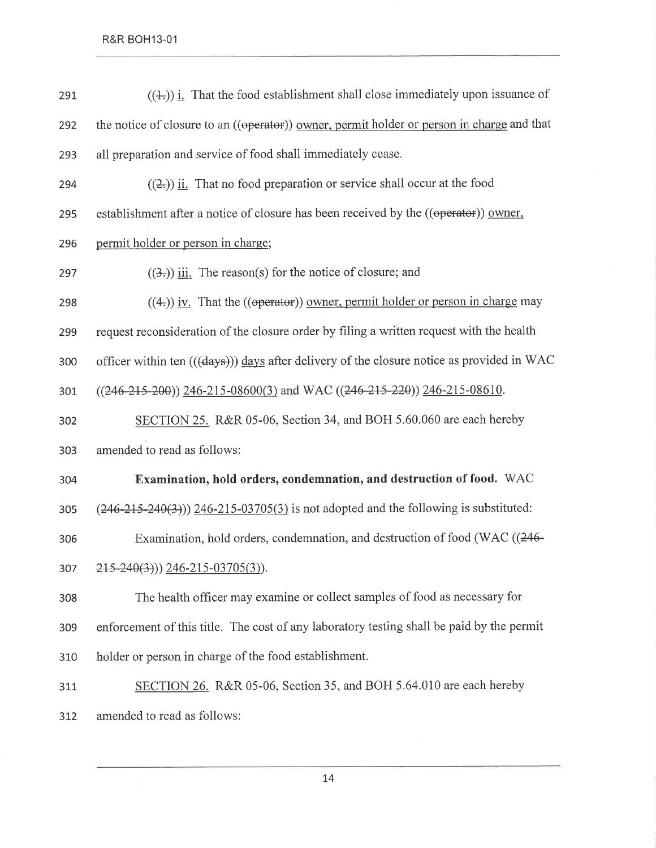| 291 | $((\pm))$ i. That the food establishment shall close immediately upon issuance of          |
|-----|--------------------------------------------------------------------------------------------|
| 292 | the notice of closure to an ((operator)) owner, permit holder or person in charge and that |
| 293 | all preparation and service of food shall immediately cease.                               |
| 294 | $((2))$ ii. That no food preparation or service shall occur at the food                    |
| 295 | establishment after a notice of closure has been received by the ((operator)) owner,       |
| 296 | permit holder or person in charge;                                                         |
| 297 | $((3))$ iii. The reason(s) for the notice of closure; and                                  |
| 298 | $((4))$ iv. That the ((operator)) owner, permit holder or person in charge may             |
| 299 | request reconsideration of the closure order by filing a written request with the health   |
| 300 | officer within ten (((days))) days after delivery of the closure notice as provided in WAC |
| 301 | $((246-215-200))$ 246-215-08600(3) and WAC ((246-215-220)) 246-215-08610.                  |
| 302 | SECTION 25. R&R 05-06, Section 34, and BOH 5.60.060 are each hereby                        |
| 303 | amended to read as follows:                                                                |
| 304 | Examination, hold orders, condemnation, and destruction of food. WAC                       |
| 305 | $(246-215-240(3))$ $246-215-03705(3)$ is not adopted and the following is substituted:     |
| 306 | Examination, hold orders, condemnation, and destruction of food (WAC ((246-                |
| 307 | $215-240(3))$ 246-215-03705(3)).                                                           |
| 308 | The health officer may examine or collect samples of food as necessary for                 |
| 309 | enforcement of this title. The cost of any laboratory testing shall be paid by the permit  |
| 310 | holder or person in charge of the food establishment.                                      |
| 311 | SECTION 26. R&R 05-06, Section 35, and BOH 5.64.010 are each hereby                        |
| 312 | amended to read as follows:                                                                |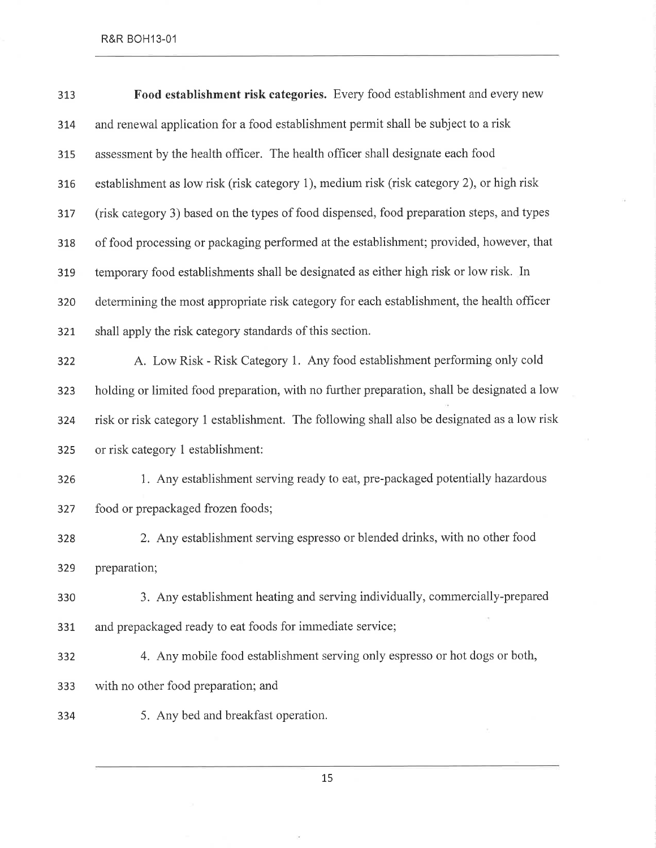| 313 | Food establishment risk categories. Every food establishment and every new                  |
|-----|---------------------------------------------------------------------------------------------|
| 314 | and renewal application for a food establishment permit shall be subject to a risk          |
| 315 | assessment by the health officer. The health officer shall designate each food              |
| 316 | establishment as low risk (risk category 1), medium risk (risk category 2), or high risk    |
| 317 | (risk category 3) based on the types of food dispensed, food preparation steps, and types   |
| 318 | of food processing or packaging performed at the establishment; provided, however, that     |
| 319 | temporary food establishments shall be designated as either high risk or low risk. In       |
| 320 | determining the most appropriate risk category for each establishment, the health officer   |
| 321 | shall apply the risk category standards of this section.                                    |
| 322 | A. Low Risk - Risk Category 1. Any food establishment performing only cold                  |
| 323 | holding or limited food preparation, with no further preparation, shall be designated a low |
| 324 | risk or risk category 1 establishment. The following shall also be designated as a low risk |
| 325 | or risk category 1 establishment:                                                           |
| 326 | 1. Any establishment serving ready to eat, pre-packaged potentially hazardous               |
| 327 | food or prepackaged frozen foods;                                                           |
| 328 | 2. Any establishment serving espresso or blended drinks, with no other food                 |
| 329 | preparation;                                                                                |
| 330 | 3. Any establishment heating and serving individually, commercially-prepared                |
| 331 | and prepackaged ready to eat foods for immediate service;                                   |
| 332 | 4. Any mobile food establishment serving only espresso or hot dogs or both,                 |
| 333 | with no other food preparation; and                                                         |
| 334 | 5. Any bed and breakfast operation.                                                         |
|     |                                                                                             |

L5

 $\bar{\tau}$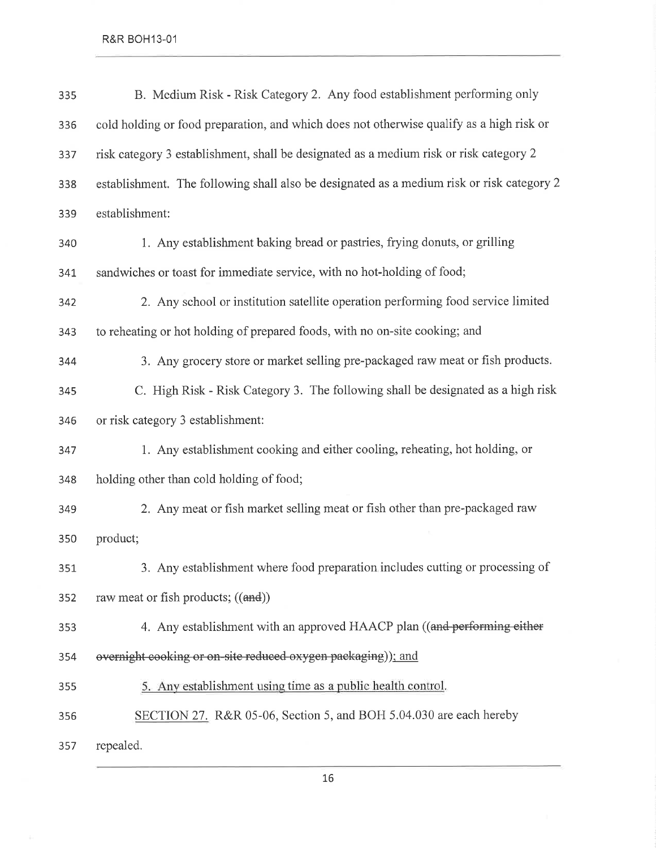| 335 | B. Medium Risk - Risk Category 2. Any food establishment performing only                  |
|-----|-------------------------------------------------------------------------------------------|
| 336 | cold holding or food preparation, and which does not otherwise qualify as a high risk or  |
| 337 | risk category 3 establishment, shall be designated as a medium risk or risk category 2    |
| 338 | establishment. The following shall also be designated as a medium risk or risk category 2 |
| 339 | establishment:                                                                            |
| 340 | 1. Any establishment baking bread or pastries, frying donuts, or grilling                 |
| 341 | sandwiches or toast for immediate service, with no hot-holding of food;                   |
| 342 | 2. Any school or institution satellite operation performing food service limited          |
| 343 | to reheating or hot holding of prepared foods, with no on-site cooking; and               |
| 344 | 3. Any grocery store or market selling pre-packaged raw meat or fish products.            |
| 345 | C. High Risk - Risk Category 3. The following shall be designated as a high risk          |
| 346 | or risk category 3 establishment:                                                         |
| 347 | 1. Any establishment cooking and either cooling, reheating, hot holding, or               |
| 348 | holding other than cold holding of food;                                                  |
| 349 | 2. Any meat or fish market selling meat or fish other than pre-packaged raw               |
| 350 | product;                                                                                  |
| 351 | 3. Any establishment where food preparation includes cutting or processing of             |
| 352 | raw meat or fish products; ((and))                                                        |
| 353 | 4. Any establishment with an approved HAACP plan ((and performing either                  |
| 354 | overnight cooking or on-site reduced oxygen packaging)); and                              |
| 355 | 5. Any establishment using time as a public health control.                               |
| 356 | SECTION 27. R&R 05-06, Section 5, and BOH 5.04.030 are each hereby                        |
| 357 | repealed.                                                                                 |

1,6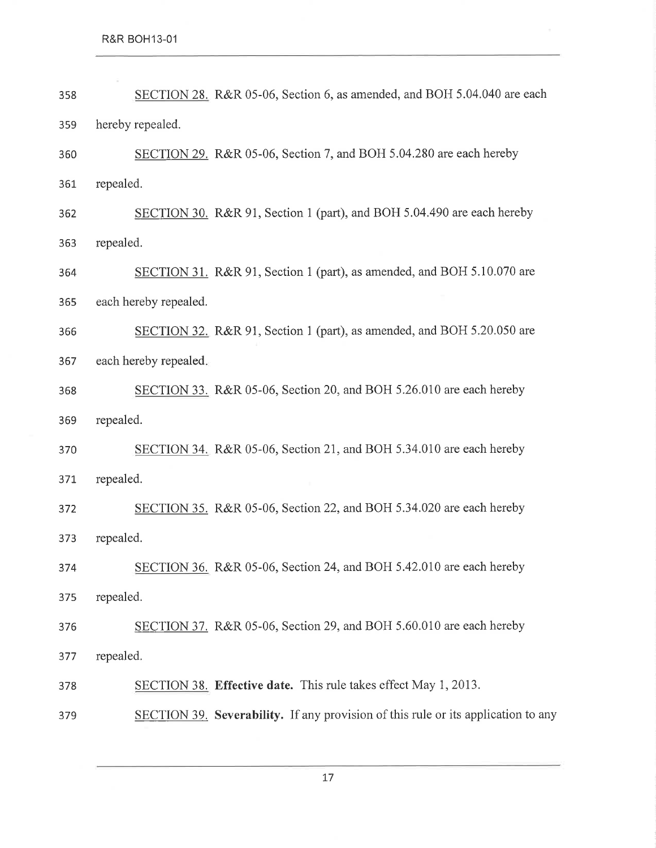| 358 | SECTION 28. R&R 05-06, Section 6, as amended, and BOH 5.04.040 are each           |
|-----|-----------------------------------------------------------------------------------|
| 359 | hereby repealed.                                                                  |
| 360 | SECTION 29. R&R 05-06, Section 7, and BOH 5.04.280 are each hereby                |
| 361 | repealed.                                                                         |
| 362 | SECTION 30. R&R 91, Section 1 (part), and BOH 5.04.490 are each hereby            |
| 363 | repealed.                                                                         |
| 364 | SECTION 31. R&R 91, Section 1 (part), as amended, and BOH 5.10.070 are            |
| 365 | each hereby repealed.                                                             |
| 366 | SECTION 32. R&R 91, Section 1 (part), as amended, and BOH 5.20.050 are            |
| 367 | each hereby repealed.                                                             |
| 368 | SECTION 33. R&R 05-06, Section 20, and BOH 5.26.010 are each hereby               |
| 369 | repealed.                                                                         |
| 370 | SECTION 34. R&R 05-06, Section 21, and BOH 5.34.010 are each hereby               |
| 371 | repealed.                                                                         |
| 372 | SECTION 35. R&R 05-06, Section 22, and BOH 5.34.020 are each hereby               |
| 373 | repealed.                                                                         |
| 374 | SECTION 36. R&R 05-06, Section 24, and BOH 5.42.010 are each hereby               |
| 375 | repealed.                                                                         |
| 376 | SECTION 37. R&R 05-06, Section 29, and BOH 5.60.010 are each hereby               |
| 377 | repealed.                                                                         |
| 378 | SECTION 38. Effective date. This rule takes effect May 1, 2013.                   |
| 379 | SECTION 39. Severability. If any provision of this rule or its application to any |